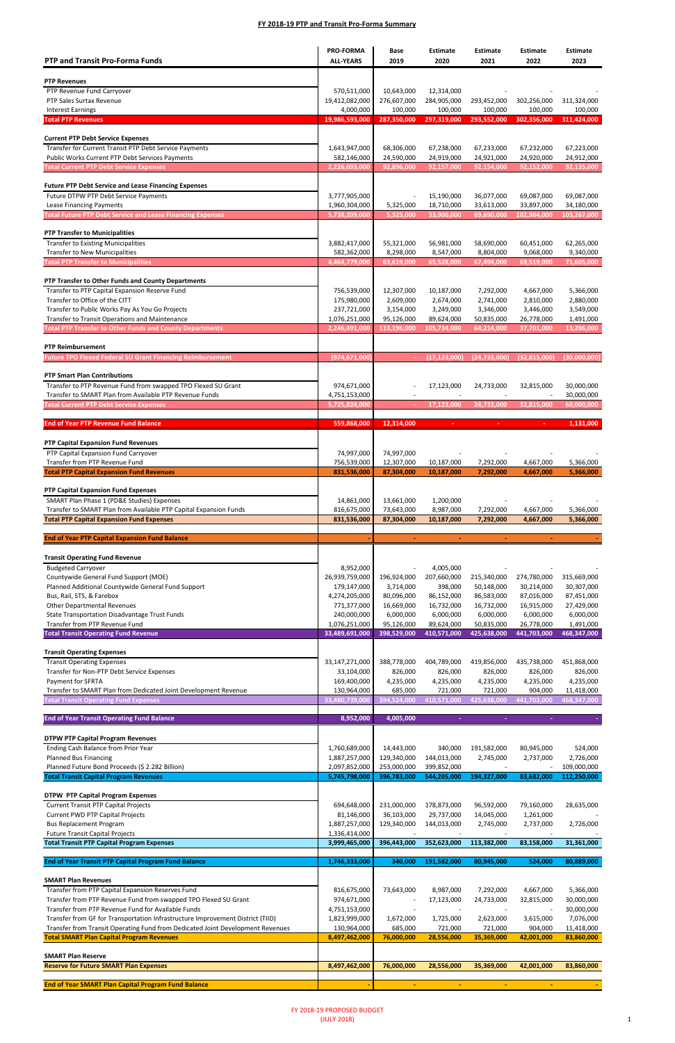| <b>PTP and Transit Pro-Forma Funds</b>                                                                                               | <b>PRO-FORMA</b><br><b>ALL-YEARS</b> | Base<br>2019               | <b>Estimate</b><br>2020    | <b>Estimate</b><br>2021   | <b>Estimate</b><br>2022   | <b>Estimate</b><br>2023    |
|--------------------------------------------------------------------------------------------------------------------------------------|--------------------------------------|----------------------------|----------------------------|---------------------------|---------------------------|----------------------------|
| <b>PTP Revenues</b>                                                                                                                  |                                      |                            |                            |                           |                           |                            |
| PTP Revenue Fund Carryover                                                                                                           | 570,511,000                          | 10,643,000                 | 12,314,000                 |                           |                           |                            |
| PTP Sales Surtax Revenue<br><b>Interest Earnings</b>                                                                                 | 19,412,082,000<br>4,000,000          | 276,607,000<br>100,000     | 284,905,000<br>100,000     | 293,452,000<br>100,000    | 302,256,000<br>100,000    | 311,324,000<br>100,000     |
| <b>Total PTP Revenues</b>                                                                                                            | 19,986,593,000                       | 287,350,000                | 297,319,000                | 293,552,000               | 302,356,000               | 311,424,000                |
| <b>Current PTP Debt Service Expenses</b>                                                                                             |                                      |                            |                            |                           |                           |                            |
| Transfer for Current Transit PTP Debt Service Payments<br>Public Works Current PTP Debt Services Payments                            | 1,643,947,000<br>582,146,000         | 68,306,000<br>24,590,000   | 67,238,000<br>24,919,000   | 67,233,000<br>24,921,000  | 67,232,000<br>24,920,000  | 67,223,000<br>24,912,000   |
| <b>Total Current PTP Debt Service Expenses</b>                                                                                       | 2,226,093,000                        | 92,896,000                 | 92,157,000                 | 92,154,000                | 92,152,000                | 92,135,000                 |
| <b>Future PTP Debt Service and Lease Financing Expenses</b>                                                                          |                                      |                            |                            |                           |                           |                            |
| Future DTPW PTP Debt Service Payments<br>Lease Financing Payments                                                                    | 3,777,905,000<br>1,960,304,000       | 5,325,000                  | 15,190,000<br>18,710,000   | 36,077,000<br>33,613,000  | 69,087,000<br>33,897,000  | 69,087,000<br>34,180,000   |
| <b>Total Future PTP Debt Service and Lease Financing Expenses</b>                                                                    | 5,738,209,000                        | 5,325,000                  | 33,900,000                 | 69,690,000                | 102,984,000               | 103,267,000                |
| <b>PTP Transfer to Municipalities</b>                                                                                                |                                      |                            |                            |                           |                           |                            |
| <b>Transfer to Existing Municipalities</b><br><b>Transfer to New Municipalities</b>                                                  | 3,882,417,000<br>582,362,000         | 55,321,000<br>8,298,000    | 56,981,000<br>8,547,000    | 58,690,000<br>8,804,000   | 60,451,000<br>9,068,000   | 62,265,000<br>9,340,000    |
| <b>Total PTP Transfer to Municipalities</b>                                                                                          | 4,464,779,000                        | 63,619,000                 | 65,528,000                 | 67,494,000                | 69,519,000                | 71,605,000                 |
| PTP Transfer to Other Funds and County Departments                                                                                   |                                      |                            |                            |                           |                           |                            |
| Transfer to PTP Capital Expansion Reserve Fund                                                                                       | 756,539,000                          | 12,307,000                 | 10,187,000                 | 7,292,000                 | 4,667,000                 | 5,366,000                  |
| Transfer to Office of the CITT<br>Transfer to Public Works Pay As You Go Projects                                                    | 175,980,000<br>237,721,000           | 2,609,000<br>3,154,000     | 2,674,000<br>3,249,000     | 2,741,000<br>3,346,000    | 2,810,000<br>3,446,000    | 2,880,000<br>3,549,000     |
| Transfer to Transit Operations and Maintenance<br><b>Total PTP Transfer to Other Funds and County Departments</b>                    | 1,076,251,000<br>2,246,491,000       | 95,126,000<br>113,196,000  | 89,624,000<br>105,734,000  | 50,835,000<br>64,214,000  | 26,778,000<br>37,701,000  | 1,491,000<br>13,286,000    |
|                                                                                                                                      |                                      |                            |                            |                           |                           |                            |
| <b>PTP Reimbursement</b><br><b>Future TPO Flexed Federal SU Grant Financing Reimbursement</b>                                        | (974,671,000                         |                            | (17, 123, 000)             | (24, 733, 000)            | (32, 815, 000)            | (30,000,000)               |
| <b>PTP Smart Plan Contributions</b>                                                                                                  |                                      |                            |                            |                           |                           |                            |
| Transfer to PTP Revenue Fund from swapped TPO Flexed SU Grant                                                                        | 974,671,000                          |                            | 17,123,000                 | 24,733,000                | 32,815,000                | 30,000,000                 |
| Transfer to SMART Plan from Available PTP Revenue Funds<br><b>Total Current PTP Debt Service Expenses</b>                            | 4,751,153,000<br>5,725,824,000       |                            | 17,123,000                 | 24,733,000                | 32,815,000                | 30,000,000<br>60,000,000   |
|                                                                                                                                      |                                      |                            |                            |                           |                           |                            |
| <b>End of Year PTP Revenue Fund Balance</b>                                                                                          | 559.868.000                          | 12,314,000                 |                            |                           |                           | 1,131,000                  |
| PTP Capital Expansion Fund Revenues<br>PTP Capital Expansion Fund Carryover                                                          | 74,997,000                           | 74,997,000                 |                            |                           |                           |                            |
| Transfer from PTP Revenue Fund                                                                                                       | 756,539,000                          | 12,307,000                 | 10,187,000                 | 7,292,000                 | 4,667,000                 | 5,366,000                  |
| <b>Total PTP Capital Expansion Fund Revenues</b>                                                                                     | 831,536,000                          | 87,304,000                 | 10,187,000                 | 7,292,000                 | 4.667.000                 | 5,366,000                  |
| PTP Capital Expansion Fund Expenses                                                                                                  |                                      |                            |                            |                           |                           |                            |
| SMART Plan Phase 1 (PD&E Studies) Expenses<br>Transfer to SMART Plan from Available PTP Capital Expansion Funds                      | 14,861,000<br>816,675,000            | 13,661,000<br>73,643,000   | 1,200,000<br>8,987,000     | 7,292,000                 | 4,667,000                 | 5,366,000                  |
|                                                                                                                                      |                                      |                            |                            |                           |                           |                            |
| <b>Total PTP Capital Expansion Fund Expenses</b>                                                                                     | 831,536,000                          | 87,304,000                 | 10,187,000                 | 7,292,000                 | 4,667,000                 | 5,366,000                  |
| <b>End of Year PTP Capital Expansion Fund Balance</b>                                                                                |                                      | $\blacksquare$             | $\sim$                     | $\sim$                    | $\sim$                    |                            |
| <b>Transit Operating Fund Revenue</b>                                                                                                |                                      |                            |                            |                           |                           |                            |
| <b>Budgeted Carryover</b><br>Countywide General Fund Support (MOE)                                                                   | 8,952,000<br>26,939,759,000          | 196,924,000                | 4,005,000<br>207,660,000   | 215,340,000               | 274,780,000               | 315,669,000                |
| Planned Additional Countywide General Fund Support                                                                                   | 179,147,000                          | 3,714,000                  | 398,000                    | 50,148,000                | 30,214,000                | 30,307,000                 |
| Bus, Rail, STS, & Farebox<br><b>Other Departmental Revenues</b>                                                                      | 4,274,205,000<br>771,377,000         | 80,096,000<br>16,669,000   | 86,152,000<br>16,732,000   | 86,583,000<br>16,732,000  | 87,016,000<br>16,915,000  | 87,451,000<br>27,429,000   |
| State Transportation Disadvantage Trust Funds<br>Transfer from PTP Revenue Fund                                                      | 240,000,000                          | 6,000,000                  | 6,000,000                  | 6,000,000                 | 6,000,000                 | 6,000,000                  |
| <b>Total Transit Operating Fund Revenue</b>                                                                                          | 1,076,251,000<br>33,489,691,000      | 95,126,000<br>398,529,000  | 89,624,000<br>410,571,000  | 50,835,000<br>425,638,000 | 26,778,000<br>441,703,000 | 1,491,000<br>468,347,000   |
| <b>Transit Operating Expenses</b>                                                                                                    |                                      |                            |                            |                           |                           |                            |
| <b>Transit Operating Expenses</b><br>Transfer for Non-PTP Debt Service Expenses                                                      | 33,147,271,000                       | 388,778,000<br>826,000     | 404,789,000<br>826,000     | 419,856,000<br>826,000    | 435,738,000<br>826,000    | 451,868,000<br>826,000     |
| Payment for SFRTA                                                                                                                    | 33,104,000<br>169,400,000            | 4,235,000                  | 4,235,000                  | 4,235,000                 | 4,235,000                 | 4,235,000                  |
| Transfer to SMART Plan from Dedicated Joint Development Revenue<br><b>Total Transit Operating Fund Expenses</b>                      | 130,964,000<br>33,480,739,00         | 685,000<br>394,524,000     | 721,000<br>410,571,000     | 721,000<br>425,638,000    | 904,000<br>441,703,000    | 11,418,000<br>468,347,000  |
|                                                                                                                                      | 8,952,000                            | 4,005,000                  |                            |                           |                           |                            |
| <b>End of Year Transit Operating Fund Balance</b>                                                                                    |                                      |                            |                            |                           |                           |                            |
| <b>DTPW PTP Capital Program Revenues</b><br>Ending Cash Balance from Prior Year                                                      | 1,760,689,000                        | 14,443,000                 | 340,000                    | 191,582,000               | 80,945,000                | 524,000                    |
| <b>Planned Bus Financing</b>                                                                                                         | 1,887,257,000                        | 129,340,000                | 144,013,000                | 2,745,000                 | 2,737,000                 | 2,726,000                  |
| Planned Future Bond Proceeds (\$ 2.282 Billion)<br><b>Total Transit Capital Program Revenues</b>                                     | 2,097,852,000<br>5,745,798,000       | 253,000,000<br>396,783,000 | 399,852,000<br>544,205,000 | 194,327,000               | 83,682,000                | 109,000,000<br>112,250,000 |
| <b>DTPW PTP Capital Program Expenses</b>                                                                                             |                                      |                            |                            |                           |                           |                            |
| <b>Current Transit PTP Capital Projects</b>                                                                                          | 694,648,000                          | 231,000,000                | 178,873,000                | 96,592,000                | 79,160,000                | 28,635,000                 |
| <b>Current PWD PTP Capital Projects</b><br><b>Bus Replacement Program</b>                                                            | 81,146,000<br>1,887,257,000          | 36,103,000<br>129,340,000  | 29,737,000<br>144,013,000  | 14,045,000<br>2,745,000   | 1,261,000<br>2,737,000    | 2,726,000                  |
| <b>Future Transit Capital Projects</b><br><b>Total Transit PTP Capital Program Expenses</b>                                          | 1,336,414,000<br>3,999,465,000       | 396,443,000                | 352,623,000                | 113,382,000               | 83,158,000                | 31,361,000                 |
|                                                                                                                                      |                                      |                            |                            |                           |                           |                            |
| <b>End of Year Transit PTP Capital Program Fund Balance</b>                                                                          | 1,746,333,000                        | 340,000                    | 191,582,000                | 80,945,000                | 524,000                   | 80,889,000                 |
| <b>SMART Plan Revenues</b><br>Transfer from PTP Capital Expansion Reserves Fund                                                      | 816,675,000                          | 73,643,000                 | 8,987,000                  | 7,292,000                 | 4,667,000                 | 5,366,000                  |
| Transfer from PTP Revenue Fund from swapped TPO Flexed SU Grant                                                                      | 974,671,000                          |                            | 17,123,000                 | 24,733,000                | 32,815,000                | 30,000,000                 |
| Transfer from PTP Revenue Fund for Available Funds<br>Transfer from GF for Transportation Infrastructure Improvement District (TIID) | 4,751,153,000<br>1,823,999,000       | 1,672,000                  | 1,725,000                  | 2,623,000                 | 3,615,000                 | 30,000,000<br>7,076,000    |
| Transfer from Transit Operating Fund from Dedicated Joint Development Revenues                                                       | 130,964,000                          | 685,000                    | 721,000                    | 721,000                   | 904,000                   | 11,418,000                 |
| <b>Total SMART Plan Capital Program Revenues</b>                                                                                     | 8,497,462,000                        | 76,000,000                 | 28,556,000                 | 35,369,000                | 42,001,000                | 83,860,000                 |
| <b>SMART Plan Reserve</b><br><b>Reserve for Future SMART Plan Expenses</b>                                                           | 8,497,462,000                        | 76,000,000                 | 28,556,000                 | 35,369,000                | 42,001,000                | 83,860,000                 |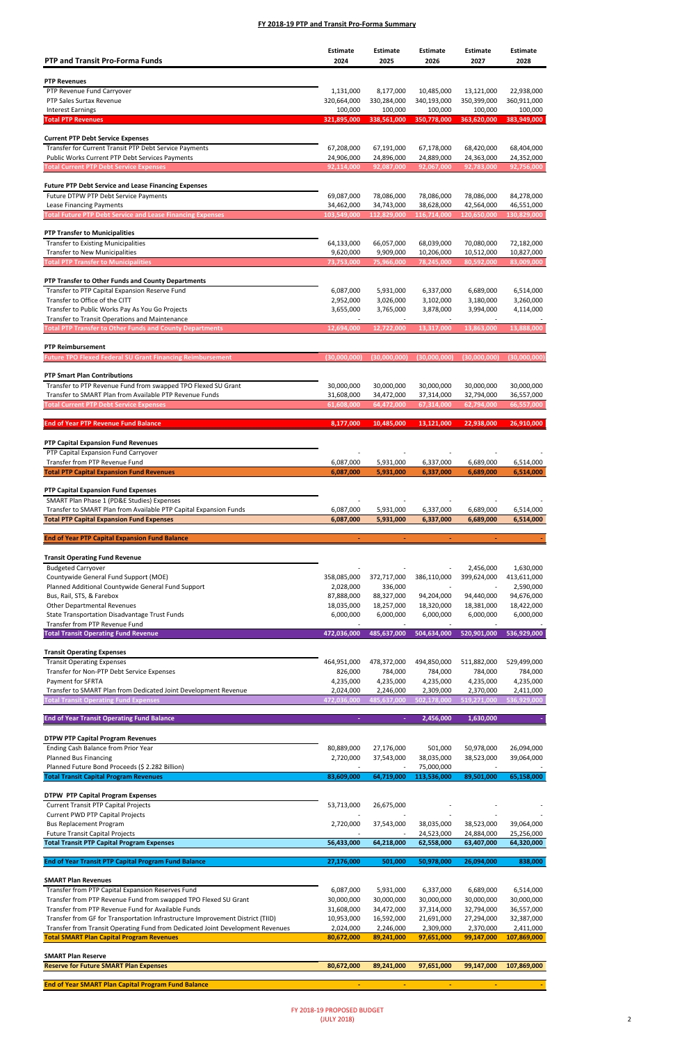| <b>PTP and Transit Pro-Forma Funds</b>                                                                    | <b>Estimate</b><br>2024  | <b>Estimate</b><br>2025  | <b>Estimate</b><br>2026  | <b>Estimate</b><br>2027  | Estimate<br>2028         |
|-----------------------------------------------------------------------------------------------------------|--------------------------|--------------------------|--------------------------|--------------------------|--------------------------|
|                                                                                                           |                          |                          |                          |                          |                          |
| <b>PTP Revenues</b><br>PTP Revenue Fund Carryover                                                         | 1,131,000                | 8,177,000                | 10,485,000               | 13,121,000               | 22,938,000               |
| PTP Sales Surtax Revenue                                                                                  | 320,664,000              | 330,284,000              | 340,193,000              | 350,399,000              | 360,911,000              |
| <b>Interest Earnings</b>                                                                                  | 100,000                  | 100,000                  | 100,000                  | 100,000                  | 100,000                  |
| <b>Total PTP Revenues</b>                                                                                 | 321,895,000              | 338,561,000              | 350,778,000              | 363,620,000              | 383,949,000              |
|                                                                                                           |                          |                          |                          |                          |                          |
| <b>Current PTP Debt Service Expenses</b>                                                                  |                          |                          |                          |                          |                          |
| Transfer for Current Transit PTP Debt Service Payments<br>Public Works Current PTP Debt Services Payments | 67,208,000<br>24,906,000 | 67,191,000<br>24,896,000 | 67,178,000<br>24,889,000 | 68,420,000<br>24,363,000 | 68,404,000<br>24,352,000 |
| <b>Total Current PTP Debt Service Expenses</b>                                                            | 92,114,000               | 92,087,000               | 92,067,000               | 92,783,000               | 92,756,000               |
|                                                                                                           |                          |                          |                          |                          |                          |
| <b>Future PTP Debt Service and Lease Financing Expenses</b>                                               |                          |                          |                          |                          |                          |
| Future DTPW PTP Debt Service Payments                                                                     | 69,087,000               | 78,086,000               | 78,086,000               | 78,086,000               | 84,278,000               |
| Lease Financing Payments                                                                                  | 34,462,000               | 34,743,000               | 38,628,000               | 42,564,000               | 46,551,000               |
| <b>Total Future PTP Debt Service and Lease Financing Expenses</b>                                         | 103,549,000              | 112,829,000              | 116,714,000              | 120,650,000              | 130,829,000              |
| <b>PTP Transfer to Municipalities</b>                                                                     |                          |                          |                          |                          |                          |
| <b>Transfer to Existing Municipalities</b>                                                                | 64,133,000               | 66,057,000               | 68,039,000               | 70,080,000               | 72,182,000               |
| <b>Transfer to New Municipalities</b>                                                                     | 9,620,000                | 9,909,000                | 10,206,000               | 10,512,000               | 10,827,000               |
| <b>Total PTP Transfer to Municipalities</b>                                                               | 73,753,000               | 75,966,000               | 78,245,000               | 80,592,000               | 83,009,000               |
| PTP Transfer to Other Funds and County Departments                                                        |                          |                          |                          |                          |                          |
| Transfer to PTP Capital Expansion Reserve Fund                                                            | 6,087,000                | 5,931,000                | 6,337,000                | 6,689,000                | 6,514,000                |
| Transfer to Office of the CITT                                                                            | 2,952,000                | 3,026,000                | 3,102,000                | 3,180,000                | 3,260,000                |
| Transfer to Public Works Pay As You Go Projects                                                           | 3,655,000                | 3,765,000                | 3,878,000                | 3,994,000                | 4,114,000                |
| Transfer to Transit Operations and Maintenance                                                            |                          |                          |                          |                          |                          |
| <b>Total PTP Transfer to Other Funds and County Departments</b>                                           | 12,694,000               | 12,722,000               | 13,317,000               | 13,863,000               | 13,888,000               |
| <b>PTP Reimbursement</b>                                                                                  |                          |                          |                          |                          |                          |
| <b>Future TPO Flexed Federal SU Grant Financing Reimbursement</b>                                         | (30,000,000)             | (30,000,000)             | (30,000,000)             | (30,000,000)             | (30,000,000)             |
|                                                                                                           |                          |                          |                          |                          |                          |
| <b>PTP Smart Plan Contributions</b>                                                                       |                          |                          |                          |                          |                          |
| Transfer to PTP Revenue Fund from swapped TPO Flexed SU Grant                                             | 30,000,000<br>31,608,000 | 30,000,000               | 30,000,000               | 30,000,000               | 30,000,000               |
| Transfer to SMART Plan from Available PTP Revenue Funds<br><b>Total Current PTP Debt Service Expenses</b> | 61,608,000               | 34,472,000<br>64,472,000 | 37,314,000<br>67,314,000 | 32,794,000<br>62,794,000 | 36,557,000<br>66,557,000 |
|                                                                                                           |                          |                          |                          |                          |                          |
| <b>End of Year PTP Revenue Fund Balance</b>                                                               | 8.177.000                | 10,485,000               | 13,121,000               | 22,938,000               | 26,910,000               |
| PTP Capital Expansion Fund Revenues                                                                       |                          |                          |                          |                          |                          |
| PTP Capital Expansion Fund Carryover                                                                      |                          |                          |                          |                          |                          |
| Transfer from PTP Revenue Fund                                                                            | 6,087,000                | 5,931,000                | 6,337,000                | 6,689,000                | 6,514,000                |
| <b>Total PTP Capital Expansion Fund Revenues</b>                                                          | 6,087,000                | 5,931,000                | 6,337,000                | 6,689,000                | 6,514,000                |
| <b>PTP Capital Expansion Fund Expenses</b>                                                                |                          |                          |                          |                          |                          |
| SMART Plan Phase 1 (PD&E Studies) Expenses                                                                |                          |                          |                          |                          |                          |
| Transfer to SMART Plan from Available PTP Capital Expansion Funds                                         | 6,087,000                | 5,931,000                | 6,337,000                | 6,689,000                | 6,514,000                |
| <b>Total PTP Capital Expansion Fund Expenses</b>                                                          | 6,087,000                | 5,931,000                | 6,337,000                | 6,689,000                | 6,514,000                |
| <b>End of Year PTP Capital Expansion Fund Balance</b>                                                     | $\blacksquare$           | $\blacksquare$           |                          |                          |                          |
|                                                                                                           |                          |                          |                          |                          |                          |
| <b>Transit Operating Fund Revenue</b>                                                                     |                          |                          |                          |                          |                          |
| <b>Budgeted Carryover</b>                                                                                 |                          |                          |                          | 2,456,000                | 1,630,000                |
| Countywide General Fund Support (MOE)<br>Planned Additional Countywide General Fund Support               | 358,085,000<br>2,028,000 | 372,717,000<br>336,000   | 386,110,000              | 399,624,000              | 413,611,000<br>2,590,000 |
| Bus, Rail, STS, & Farebox                                                                                 | 87,888,000               | 88,327,000               | 94,204,000               | 94,440,000               | 94,676,000               |
| <b>Other Departmental Revenues</b>                                                                        | 18,035,000               | 18,257,000               | 18,320,000               | 18,381,000               | 18,422,000               |
| State Transportation Disadvantage Trust Funds                                                             | 6,000,000                | 6,000,000                | 6,000,000                | 6,000,000                | 6,000,000                |
| Transfer from PTP Revenue Fund                                                                            |                          |                          | $\overline{\phantom{a}}$ |                          |                          |
| <b>Total Transit Operating Fund Revenue</b>                                                               | 472,036,000              | 485,637,000              | 504,634,000              | 520,901,000              | 536,929,000              |
| <b>Transit Operating Expenses</b>                                                                         |                          |                          |                          |                          |                          |
| <b>Transit Operating Expenses</b>                                                                         | 464,951,000              | 478,372,000              | 494,850,000              | 511,882,000              | 529,499,000              |
| Transfer for Non-PTP Debt Service Expenses                                                                | 826,000                  | 784,000                  | 784,000                  | 784,000                  | 784,000                  |
| Payment for SFRTA                                                                                         | 4,235,000                | 4,235,000                | 4,235,000                | 4,235,000                | 4,235,000                |
| Transfer to SMART Plan from Dedicated Joint Development Revenue                                           | 2,024,000                | 2,246,000                | 2,309,000                | 2,370,000                | 2,411,000                |
| <b>Total Transit Operating Fund Expenses</b>                                                              | 472,036,000              | 485,637,000              | 502,178,000              | 519,271,000              | 536,929,000              |
| <b>End of Year Transit Operating Fund Balance</b>                                                         |                          |                          | 2,456,000                | 1,630,000                |                          |
|                                                                                                           |                          |                          |                          |                          |                          |
| <b>DTPW PTP Capital Program Revenues</b>                                                                  |                          |                          |                          |                          |                          |
| Ending Cash Balance from Prior Year                                                                       | 80,889,000               | 27,176,000               | 501,000                  | 50,978,000               | 26,094,000               |

| Planned Future Bond Proceeds (\$ 2.282 Billion)                                |            |            | 75,000,000  |            |             |
|--------------------------------------------------------------------------------|------------|------------|-------------|------------|-------------|
| <b>Total Transit Capital Program Revenues</b>                                  | 83,609,000 | 64,719,000 | 113,536,000 | 89,501,000 | 65,158,000  |
|                                                                                |            |            |             |            |             |
| <b>DTPW PTP Capital Program Expenses</b>                                       |            |            |             |            |             |
| <b>Current Transit PTP Capital Projects</b>                                    | 53,713,000 | 26,675,000 |             |            |             |
| <b>Current PWD PTP Capital Projects</b>                                        |            |            |             |            |             |
| <b>Bus Replacement Program</b>                                                 | 2,720,000  | 37,543,000 | 38,035,000  | 38,523,000 | 39,064,000  |
| <b>Future Transit Capital Projects</b>                                         |            |            | 24,523,000  | 24,884,000 | 25,256,000  |
| <b>Total Transit PTP Capital Program Expenses</b>                              | 56,433,000 | 64,218,000 | 62,558,000  | 63,407,000 | 64,320,000  |
|                                                                                |            |            |             |            |             |
| <b>End of Year Transit PTP Capital Program Fund Balance</b>                    | 27,176,000 | 501,000    | 50,978,000  | 26,094,000 | 838,000     |
|                                                                                |            |            |             |            |             |
| <b>SMART Plan Revenues</b>                                                     |            |            |             |            |             |
| Transfer from PTP Capital Expansion Reserves Fund                              | 6,087,000  | 5,931,000  | 6,337,000   | 6,689,000  | 6,514,000   |
| Transfer from PTP Revenue Fund from swapped TPO Flexed SU Grant                | 30,000,000 | 30,000,000 | 30,000,000  | 30,000,000 | 30,000,000  |
| Transfer from PTP Revenue Fund for Available Funds                             | 31,608,000 | 34,472,000 | 37,314,000  | 32,794,000 | 36,557,000  |
| Transfer from GF for Transportation Infrastructure Improvement District (TIID) | 10,953,000 | 16,592,000 | 21,691,000  | 27,294,000 | 32,387,000  |
| Transfer from Transit Operating Fund from Dedicated Joint Development Revenues | 2,024,000  | 2,246,000  | 2,309,000   | 2,370,000  | 2,411,000   |
| <b>Total SMART Plan Capital Program Revenues</b>                               | 80,672,000 | 89,241,000 | 97,651,000  | 99,147,000 | 107,869,000 |
|                                                                                |            |            |             |            |             |
| <b>SMART Plan Reserve</b>                                                      |            |            |             |            |             |
| <b>Reserve for Future SMART Plan Expenses</b>                                  | 80,672,000 | 89,241,000 | 97,651,000  | 99,147,000 | 107,869,000 |
|                                                                                |            |            |             |            |             |
| <b>End of Year SMART Plan Capital Program Fund Balance</b>                     |            |            |             |            |             |
|                                                                                |            |            |             |            |             |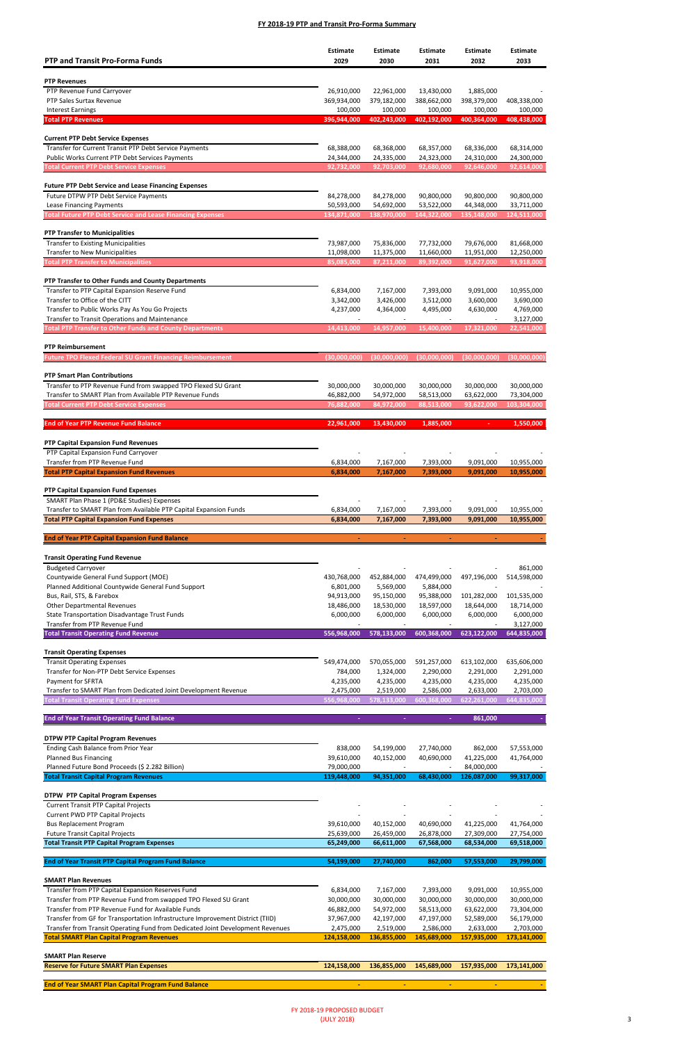| <b>PTP and Transit Pro-Forma Funds</b>                                                                                   | <b>Estimate</b><br>2029  | <b>Estimate</b><br>2030  | <b>Estimate</b><br>2031                 | <b>Estimate</b><br>2032  | Estimate<br>2033         |
|--------------------------------------------------------------------------------------------------------------------------|--------------------------|--------------------------|-----------------------------------------|--------------------------|--------------------------|
| <b>PTP Revenues</b>                                                                                                      |                          |                          |                                         |                          |                          |
| PTP Revenue Fund Carryover                                                                                               | 26,910,000               | 22,961,000               | 13,430,000                              | 1,885,000                |                          |
| PTP Sales Surtax Revenue                                                                                                 | 369,934,000              | 379,182,000              | 388,662,000                             | 398,379,000              | 408,338,000              |
| <b>Interest Earnings</b>                                                                                                 | 100,000                  | 100,000                  | 100,000                                 | 100,000                  | 100,000                  |
| <b>Total PTP Revenues</b>                                                                                                | 396,944,000              | 402,243,000              | 402,192,000                             | 400,364,000              | 408,438,000              |
|                                                                                                                          |                          |                          |                                         |                          |                          |
| <b>Current PTP Debt Service Expenses</b><br>Transfer for Current Transit PTP Debt Service Payments                       | 68,388,000               | 68,368,000               | 68,357,000                              | 68,336,000               | 68,314,000               |
| Public Works Current PTP Debt Services Payments                                                                          | 24,344,000               | 24,335,000               | 24,323,000                              | 24,310,000               | 24,300,000               |
| <b>Total Current PTP Debt Service Expenses</b>                                                                           | 92,732,000               | 92,703,000               | 92,680,000                              | 92,646,000               | 92,614,000               |
|                                                                                                                          |                          |                          |                                         |                          |                          |
| <b>Future PTP Debt Service and Lease Financing Expenses</b>                                                              |                          |                          |                                         |                          |                          |
| Future DTPW PTP Debt Service Payments<br>Lease Financing Payments                                                        | 84,278,000<br>50,593,000 | 84,278,000<br>54,692,000 | 90,800,000<br>53,522,000                | 90,800,000<br>44,348,000 | 90,800,000<br>33,711,000 |
| <b>Total Future PTP Debt Service and Lease Financing Expenses</b>                                                        | 134,871,000              | 138,970,000              | 144,322,000                             | 135,148,000              | 124,511,000              |
|                                                                                                                          |                          |                          |                                         |                          |                          |
| <b>PTP Transfer to Municipalities</b>                                                                                    |                          |                          |                                         |                          |                          |
| <b>Transfer to Existing Municipalities</b>                                                                               | 73,987,000               | 75,836,000               | 77,732,000                              | 79,676,000               | 81,668,000               |
| <b>Transfer to New Municipalities</b>                                                                                    | 11,098,000               | 11,375,000               | 11,660,000                              | 11,951,000               | 12,250,000               |
| <b>Total PTP Transfer to Municipalities</b>                                                                              | 85,085,000               | 87,211,000               | 89,392,000                              | 91,627,000               | 93,918,000               |
| PTP Transfer to Other Funds and County Departments                                                                       |                          |                          |                                         |                          |                          |
| Transfer to PTP Capital Expansion Reserve Fund                                                                           | 6,834,000                | 7,167,000                | 7,393,000                               | 9,091,000                | 10,955,000               |
| Transfer to Office of the CITT                                                                                           | 3,342,000                | 3,426,000                | 3,512,000                               | 3,600,000                | 3,690,000                |
| Transfer to Public Works Pay As You Go Projects                                                                          | 4,237,000                | 4,364,000                | 4,495,000                               | 4,630,000                | 4,769,000                |
| Transfer to Transit Operations and Maintenance                                                                           | 14,413,000               | 14,957,000               | 15,400,000                              | 17,321,000               | 3,127,000<br>22,541,000  |
| <b>Total PTP Transfer to Other Funds and County Departments</b>                                                          |                          |                          |                                         |                          |                          |
| <b>PTP Reimbursement</b>                                                                                                 |                          |                          |                                         |                          |                          |
| <b>Future TPO Flexed Federal SU Grant Financing Reimbursement</b>                                                        | (30,000,000)             | (30,000,000)             | (30,000,000)                            | (30,000,000)             | (30,000,000)             |
|                                                                                                                          |                          |                          |                                         |                          |                          |
| <b>PTP Smart Plan Contributions</b>                                                                                      |                          |                          |                                         |                          |                          |
| Transfer to PTP Revenue Fund from swapped TPO Flexed SU Grant<br>Transfer to SMART Plan from Available PTP Revenue Funds | 30,000,000<br>46,882,000 | 30,000,000<br>54,972,000 | 30,000,000<br>58,513,000                | 30,000,000<br>63,622,000 | 30,000,000<br>73,304,000 |
| <b>Total Current PTP Debt Service Expenses</b>                                                                           | 76,882,000               | 84,972,000               | 88,513,000                              | 93,622,000               | 103,304,000              |
|                                                                                                                          |                          |                          |                                         |                          |                          |
| <b>End of Year PTP Revenue Fund Balance</b>                                                                              | 22,961,000               | 13,430,000               | 1,885,000                               |                          | 1,550,000                |
| PTP Capital Expansion Fund Revenues                                                                                      |                          |                          |                                         |                          |                          |
| PTP Capital Expansion Fund Carryover                                                                                     |                          |                          |                                         |                          |                          |
| Transfer from PTP Revenue Fund                                                                                           | 6,834,000                | 7,167,000                | 7,393,000                               | 9,091,000                | 10,955,000               |
| <b>Total PTP Capital Expansion Fund Revenues</b>                                                                         | 6,834,000                | 7,167,000                | 7,393,000                               | 9,091,000                | 10,955,000               |
|                                                                                                                          |                          |                          |                                         |                          |                          |
| PTP Capital Expansion Fund Expenses<br>SMART Plan Phase 1 (PD&E Studies) Expenses                                        |                          |                          |                                         |                          |                          |
| Transfer to SMART Plan from Available PTP Capital Expansion Funds                                                        | 6,834,000                | 7,167,000                | 7,393,000                               | 9,091,000                | 10,955,000               |
| <b>Total PTP Capital Expansion Fund Expenses</b>                                                                         | 6,834,000                | 7,167,000                | 7,393,000                               | 9,091,000                | 10,955,000               |
|                                                                                                                          |                          |                          |                                         |                          |                          |
| <b>End of Year PTP Capital Expansion Fund Balance</b>                                                                    | $\blacksquare$           | $\blacksquare$           |                                         |                          |                          |
|                                                                                                                          |                          |                          |                                         |                          |                          |
| <b>Transit Operating Fund Revenue</b><br><b>Budgeted Carryover</b>                                                       |                          |                          |                                         |                          | 861,000                  |
| Countywide General Fund Support (MOE)                                                                                    | 430,768,000              | 452,884,000              | 474,499,000                             | 497,196,000              | 514,598,000              |
| Planned Additional Countywide General Fund Support                                                                       | 6,801,000                | 5,569,000                | 5,884,000                               |                          |                          |
| Bus, Rail, STS, & Farebox                                                                                                | 94,913,000               | 95,150,000               | 95,388,000                              | 101,282,000              | 101,535,000              |
| <b>Other Departmental Revenues</b>                                                                                       | 18,486,000               | 18,530,000               | 18,597,000                              | 18,644,000               | 18,714,000               |
| State Transportation Disadvantage Trust Funds                                                                            | 6,000,000                | 6,000,000                | 6,000,000                               | 6,000,000                | 6,000,000                |
| Transfer from PTP Revenue Fund<br><b>Total Transit Operating Fund Revenue</b>                                            | 556,968,000              | 578,133,000              | $\overline{\phantom{a}}$<br>600,368,000 | 623,122,000              | 3,127,000<br>644,835,000 |
|                                                                                                                          |                          |                          |                                         |                          |                          |
| <b>Transit Operating Expenses</b>                                                                                        |                          |                          |                                         |                          |                          |
| <b>Transit Operating Expenses</b>                                                                                        | 549,474,000              | 570,055,000              | 591,257,000                             | 613,102,000              | 635,606,000              |
| Transfer for Non-PTP Debt Service Expenses                                                                               | 784,000                  | 1,324,000                | 2,290,000                               | 2,291,000                | 2,291,000                |
| Payment for SFRTA                                                                                                        | 4,235,000                | 4,235,000                | 4,235,000                               | 4,235,000                | 4,235,000                |
| Transfer to SMART Plan from Dedicated Joint Development Revenue                                                          | 2,475,000<br>556,968,000 | 2,519,000<br>578,133,000 | 2,586,000<br>600,368,000                | 2,633,000                | 2,703,000<br>644,835,000 |
| <b>Total Transit Operating Fund Expenses</b>                                                                             |                          |                          |                                         | 622,261,000              |                          |
| <b>End of Year Transit Operating Fund Balance</b>                                                                        |                          |                          |                                         | 861,000                  |                          |
|                                                                                                                          |                          |                          |                                         |                          |                          |
| <b>DTPW PTP Capital Program Revenues</b>                                                                                 |                          |                          |                                         |                          |                          |
| Ending Cash Balance from Prior Year                                                                                      | 838,000                  | 54,199,000               | 27,740,000                              | 862,000                  | 57,553,000               |
| <b>Planned Bus Financing</b>                                                                                             | 39,610,000               | 40,152,000               | 40,690,000                              | 41,225,000               | 41,764,000               |

| Planned Future Bond Proceeds (\$ 2.282 Billion)                                | 79,000,000  |             |             | 84,000,000  |             |
|--------------------------------------------------------------------------------|-------------|-------------|-------------|-------------|-------------|
| <b>Total Transit Capital Program Revenues</b>                                  | 119.448.000 | 94,351,000  | 68,430,000  | 126,087,000 | 99,317,000  |
| <b>DTPW PTP Capital Program Expenses</b>                                       |             |             |             |             |             |
| <b>Current Transit PTP Capital Projects</b>                                    |             |             |             |             |             |
| <b>Current PWD PTP Capital Projects</b>                                        |             |             |             |             |             |
| <b>Bus Replacement Program</b>                                                 | 39,610,000  | 40,152,000  | 40,690,000  | 41,225,000  | 41,764,000  |
| <b>Future Transit Capital Projects</b>                                         | 25,639,000  | 26,459,000  | 26,878,000  | 27,309,000  | 27,754,000  |
| <b>Total Transit PTP Capital Program Expenses</b>                              | 65,249,000  | 66,611,000  | 67,568,000  | 68,534,000  | 69,518,000  |
|                                                                                |             |             |             |             |             |
| <b>End of Year Transit PTP Capital Program Fund Balance</b>                    | 54,199,000  | 27,740,000  | 862,000     | 57,553,000  | 29,799,000  |
| <b>SMART Plan Revenues</b>                                                     |             |             |             |             |             |
| Transfer from PTP Capital Expansion Reserves Fund                              | 6,834,000   | 7,167,000   | 7,393,000   | 9,091,000   | 10,955,000  |
| Transfer from PTP Revenue Fund from swapped TPO Flexed SU Grant                | 30,000,000  | 30,000,000  | 30,000,000  | 30,000,000  | 30,000,000  |
| Transfer from PTP Revenue Fund for Available Funds                             | 46,882,000  | 54,972,000  | 58,513,000  | 63,622,000  | 73,304,000  |
| Transfer from GF for Transportation Infrastructure Improvement District (TIID) | 37,967,000  | 42,197,000  | 47,197,000  | 52,589,000  | 56,179,000  |
| Transfer from Transit Operating Fund from Dedicated Joint Development Revenues | 2,475,000   | 2,519,000   | 2,586,000   | 2,633,000   | 2,703,000   |
| <b>Total SMART Plan Capital Program Revenues</b>                               | 124,158,000 | 136,855,000 | 145,689,000 | 157,935,000 | 173,141,000 |
| <b>SMART Plan Reserve</b>                                                      |             |             |             |             |             |
| <b>Reserve for Future SMART Plan Expenses</b>                                  | 124,158,000 | 136,855,000 | 145,689,000 | 157,935,000 | 173,141,000 |
|                                                                                |             |             |             |             |             |
| <b>End of Year SMART Plan Capital Program Fund Balance</b>                     |             |             |             |             |             |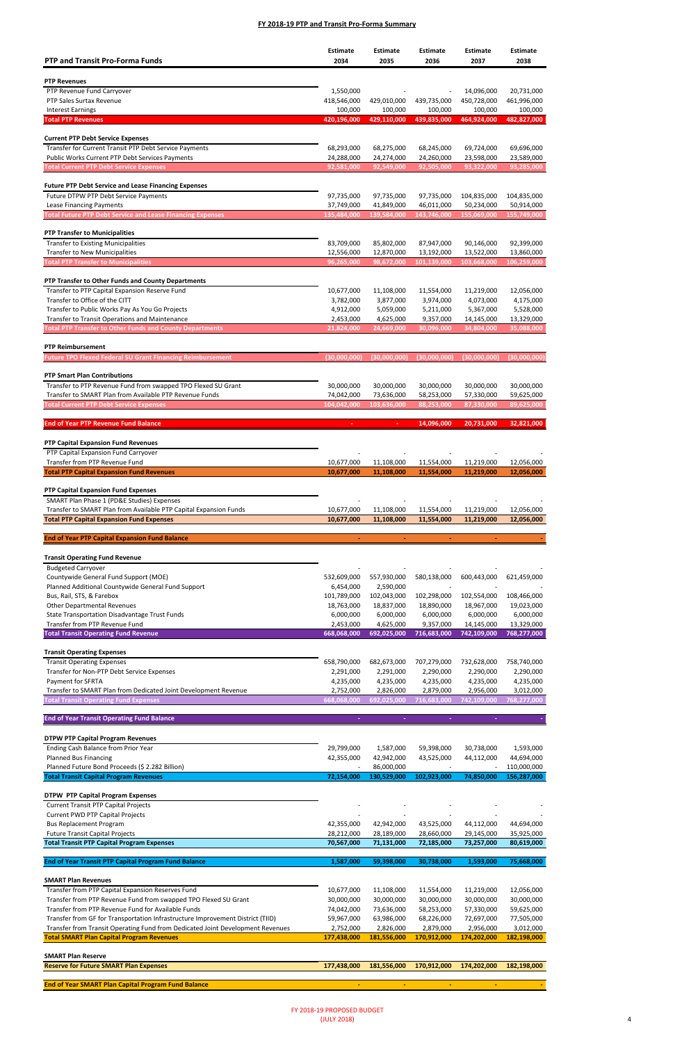Planned Bus Financing

| <b>PTP and Transit Pro-Forma Funds</b>                                                                            | <b>Estimate</b><br>2034  | <b>Estimate</b><br>2035  | <b>Estimate</b><br>2036   | <b>Estimate</b><br>2037   | <b>Estimate</b><br>2038   |
|-------------------------------------------------------------------------------------------------------------------|--------------------------|--------------------------|---------------------------|---------------------------|---------------------------|
| <b>PTP Revenues</b>                                                                                               |                          |                          |                           |                           |                           |
| PTP Revenue Fund Carryover                                                                                        | 1,550,000                |                          |                           | 14,096,000                | 20,731,000                |
| PTP Sales Surtax Revenue                                                                                          | 418,546,000              | 429,010,000              | 439,735,000               | 450,728,000               | 461,996,000               |
| <b>Interest Earnings</b>                                                                                          | 100,000                  | 100,000                  | 100,000                   | 100,000                   | 100,000                   |
| <b>Total PTP Revenues</b>                                                                                         | 420,196,000              | 429,110,000              | 439,835,000               | 464,924,000               | 482,827,000               |
| <b>Current PTP Debt Service Expenses</b>                                                                          |                          |                          |                           |                           |                           |
| Transfer for Current Transit PTP Debt Service Payments                                                            | 68,293,000               | 68,275,000               | 68,245,000                | 69,724,000                | 69,696,000                |
| Public Works Current PTP Debt Services Payments                                                                   | 24,288,000               | 24,274,000               | 24,260,000                | 23,598,000                | 23,589,000                |
| <b>Total Current PTP Debt Service Expenses</b>                                                                    | 92,581,000               | 92,549,000               | 92,505,000                | 93,322,000                | 93,285,000                |
|                                                                                                                   |                          |                          |                           |                           |                           |
| <b>Future PTP Debt Service and Lease Financing Expenses</b>                                                       |                          |                          |                           |                           |                           |
| Future DTPW PTP Debt Service Payments<br>Lease Financing Payments                                                 | 97,735,000<br>37,749,000 | 97,735,000<br>41,849,000 | 97,735,000<br>46,011,000  | 104,835,000<br>50,234,000 | 104,835,000<br>50,914,000 |
| <b>Total Future PTP Debt Service and Lease Financing Expenses</b>                                                 | 135,484,000              | 139,584,000              | 143,746,000               | 155,069,000               | 155,749,000               |
|                                                                                                                   |                          |                          |                           |                           |                           |
| <b>PTP Transfer to Municipalities</b>                                                                             |                          |                          |                           |                           |                           |
| <b>Transfer to Existing Municipalities</b>                                                                        | 83,709,000               | 85,802,000               | 87,947,000                | 90,146,000                | 92,399,000                |
| <b>Transfer to New Municipalities</b><br><b>Total PTP Transfer to Municipalities</b>                              | 12,556,000<br>96,265,000 | 12,870,000<br>98,672,000 | 13,192,000<br>101,139,000 | 13,522,000<br>103,668,000 | 13,860,000<br>106,259,000 |
|                                                                                                                   |                          |                          |                           |                           |                           |
| PTP Transfer to Other Funds and County Departments                                                                |                          |                          |                           |                           |                           |
| Transfer to PTP Capital Expansion Reserve Fund                                                                    | 10,677,000               | 11,108,000               | 11,554,000                | 11,219,000                | 12,056,000                |
| Transfer to Office of the CITT                                                                                    | 3,782,000                | 3,877,000                | 3,974,000                 | 4,073,000                 | 4,175,000                 |
| Transfer to Public Works Pay As You Go Projects                                                                   | 4,912,000                | 5,059,000                | 5,211,000                 | 5,367,000                 | 5,528,000                 |
| Transfer to Transit Operations and Maintenance<br><b>Total PTP Transfer to Other Funds and County Departments</b> | 2,453,000<br>21,824,000  | 4,625,000<br>24,669,000  | 9,357,000<br>30,096,000   | 14,145,000<br>34,804,000  | 13,329,000<br>35,088,000  |
|                                                                                                                   |                          |                          |                           |                           |                           |
| <b>PTP Reimbursement</b>                                                                                          |                          |                          |                           |                           |                           |
| <b>Future TPO Flexed Federal SU Grant Financing Reimbursement</b>                                                 | (30,000,000)             | (30,000,000)             | (30,000,000)              | (30,000,000)              | (30,000,000)              |
| <b>PTP Smart Plan Contributions</b>                                                                               |                          |                          |                           |                           |                           |
| Transfer to PTP Revenue Fund from swapped TPO Flexed SU Grant                                                     | 30,000,000               | 30,000,000               | 30,000,000                | 30,000,000                | 30,000,000                |
| Transfer to SMART Plan from Available PTP Revenue Funds                                                           | 74,042,000               | 73,636,000               | 58,253,000                | 57,330,000                | 59,625,000                |
| <b>Total Current PTP Debt Service Expenses</b>                                                                    | 104,042,000              | 103,636,000              | 88,253,000                | 87,330,000                | 89,625,000                |
| <b>End of Year PTP Revenue Fund Balance</b>                                                                       |                          |                          | 14,096,000                | 20,731,000                | 32,821,000                |
| PTP Capital Expansion Fund Revenues                                                                               |                          |                          |                           |                           |                           |
| PTP Capital Expansion Fund Carryover                                                                              |                          |                          |                           |                           |                           |
| Transfer from PTP Revenue Fund                                                                                    | 10,677,000               | 11,108,000               | 11,554,000                | 11,219,000                | 12,056,000                |
| <b>Total PTP Capital Expansion Fund Revenues</b>                                                                  | 10,677,000               | 11,108,000               | 11,554,000                | 11,219,000                | 12,056,000                |
| PTP Capital Expansion Fund Expenses                                                                               |                          |                          |                           |                           |                           |
| SMART Plan Phase 1 (PD&E Studies) Expenses                                                                        |                          |                          |                           |                           |                           |
| Transfer to SMART Plan from Available PTP Capital Expansion Funds                                                 | 10,677,000               | 11,108,000               | 11,554,000                | 11,219,000                | 12,056,000                |
| <b>Total PTP Capital Expansion Fund Expenses</b>                                                                  | 10,677,000               | 11,108,000               | 11,554,000                | 11,219,000                | 12,056,000                |
|                                                                                                                   | ä,                       |                          |                           | $\sim$                    |                           |
| <b>End of Year PTP Capital Expansion Fund Balance</b>                                                             |                          | ÷,                       | ÷                         |                           |                           |
| <b>Transit Operating Fund Revenue</b>                                                                             |                          |                          |                           |                           |                           |
| <b>Budgeted Carryover</b>                                                                                         |                          |                          |                           |                           |                           |
| Countywide General Fund Support (MOE)                                                                             | 532,609,000              | 557,930,000              | 580,138,000               | 600,443,000               | 621,459,000               |
| Planned Additional Countywide General Fund Support                                                                | 6,454,000                | 2,590,000                |                           |                           |                           |
| Bus, Rail, STS, & Farebox<br><b>Other Departmental Revenues</b>                                                   | 101,789,000              | 102,043,000              | 102,298,000               | 102,554,000               | 108,466,000               |
| <b>State Transportation Disadvantage Trust Funds</b>                                                              | 18,763,000<br>6,000,000  | 18,837,000<br>6,000,000  | 18,890,000<br>6,000,000   | 18,967,000<br>6,000,000   | 19,023,000<br>6,000,000   |
| Transfer from PTP Revenue Fund                                                                                    | 2,453,000                | 4,625,000                | 9,357,000                 | 14,145,000                | 13,329,000                |
| <b>Total Transit Operating Fund Revenue</b>                                                                       | 668,068,000              | 692,025,000              | 716,683,000               | 742,109,000               | 768,277,000               |
|                                                                                                                   |                          |                          |                           |                           |                           |
| <b>Transit Operating Expenses</b>                                                                                 |                          |                          |                           |                           |                           |
| <b>Transit Operating Expenses</b><br>Transfer for Non-PTP Debt Service Expenses                                   | 658,790,000<br>2,291,000 | 682,673,000<br>2,291,000 | 707,279,000<br>2,290,000  | 732,628,000<br>2,290,000  | 758,740,000<br>2,290,000  |
| Payment for SFRTA                                                                                                 | 4,235,000                | 4,235,000                | 4,235,000                 | 4,235,000                 | 4,235,000                 |
| Transfer to SMART Plan from Dedicated Joint Development Revenue                                                   | 2,752,000                | 2,826,000                | 2,879,000                 | 2,956,000                 | 3,012,000                 |
| <b>Total Transit Operating Fund Expenses</b>                                                                      | 668,068,000              | 692,025,000              | 716,683,000               | 742,109,000               | 768,277,000               |
| <b>End of Year Transit Operating Fund Balance</b>                                                                 |                          |                          |                           |                           |                           |
|                                                                                                                   |                          |                          |                           |                           |                           |
| <b>DTPW PTP Capital Program Revenues</b>                                                                          |                          |                          |                           |                           |                           |
| Ending Cash Balance from Prior Year                                                                               | 29,799,000               | 1,587,000                | 59,398,000                | 30,738,000                | 1,593,000                 |

| Planned Future Bond Proceeds (\$ 2.282 Billion)                                |             | 86,000,000  |             |             | 110,000,000 |
|--------------------------------------------------------------------------------|-------------|-------------|-------------|-------------|-------------|
| <b>Total Transit Capital Program Revenues</b>                                  | 72,154,000  | 130.529.000 | 102,923,000 | 74,850,000  | 156,287,000 |
| <b>DTPW PTP Capital Program Expenses</b>                                       |             |             |             |             |             |
| <b>Current Transit PTP Capital Projects</b>                                    |             |             |             |             |             |
| <b>Current PWD PTP Capital Projects</b>                                        |             |             |             |             |             |
| <b>Bus Replacement Program</b>                                                 | 42,355,000  | 42,942,000  | 43,525,000  | 44,112,000  | 44,694,000  |
| <b>Future Transit Capital Projects</b>                                         | 28,212,000  | 28,189,000  | 28,660,000  | 29,145,000  | 35,925,000  |
| <b>Total Transit PTP Capital Program Expenses</b>                              | 70,567,000  | 71,131,000  | 72,185,000  | 73,257,000  | 80,619,000  |
|                                                                                |             |             |             |             |             |
| <b>End of Year Transit PTP Capital Program Fund Balance</b>                    | 1,587,000   | 59,398,000  | 30,738,000  | 1,593,000   | 75,668,000  |
| <b>SMART Plan Revenues</b>                                                     |             |             |             |             |             |
| Transfer from PTP Capital Expansion Reserves Fund                              | 10,677,000  | 11,108,000  | 11,554,000  | 11,219,000  | 12,056,000  |
| Transfer from PTP Revenue Fund from swapped TPO Flexed SU Grant                | 30,000,000  | 30,000,000  | 30,000,000  | 30,000,000  | 30,000,000  |
| Transfer from PTP Revenue Fund for Available Funds                             | 74,042,000  | 73,636,000  | 58,253,000  | 57,330,000  | 59,625,000  |
| Transfer from GF for Transportation Infrastructure Improvement District (TIID) | 59,967,000  | 63,986,000  | 68,226,000  | 72,697,000  | 77,505,000  |
| Transfer from Transit Operating Fund from Dedicated Joint Development Revenues | 2,752,000   | 2,826,000   | 2,879,000   | 2,956,000   | 3,012,000   |
| <b>Total SMART Plan Capital Program Revenues</b>                               | 177,438,000 | 181,556,000 | 170,912,000 | 174,202,000 | 182,198,000 |
| <b>SMART Plan Reserve</b>                                                      |             |             |             |             |             |
| <b>Reserve for Future SMART Plan Expenses</b>                                  | 177,438,000 | 181,556,000 | 170,912,000 | 174,202,000 | 182,198,000 |
|                                                                                |             |             |             |             |             |
| <b>End of Year SMART Plan Capital Program Fund Balance</b>                     |             |             |             |             |             |

42,355,000 42,942,000 43,525,000 44,112,000 44,694,000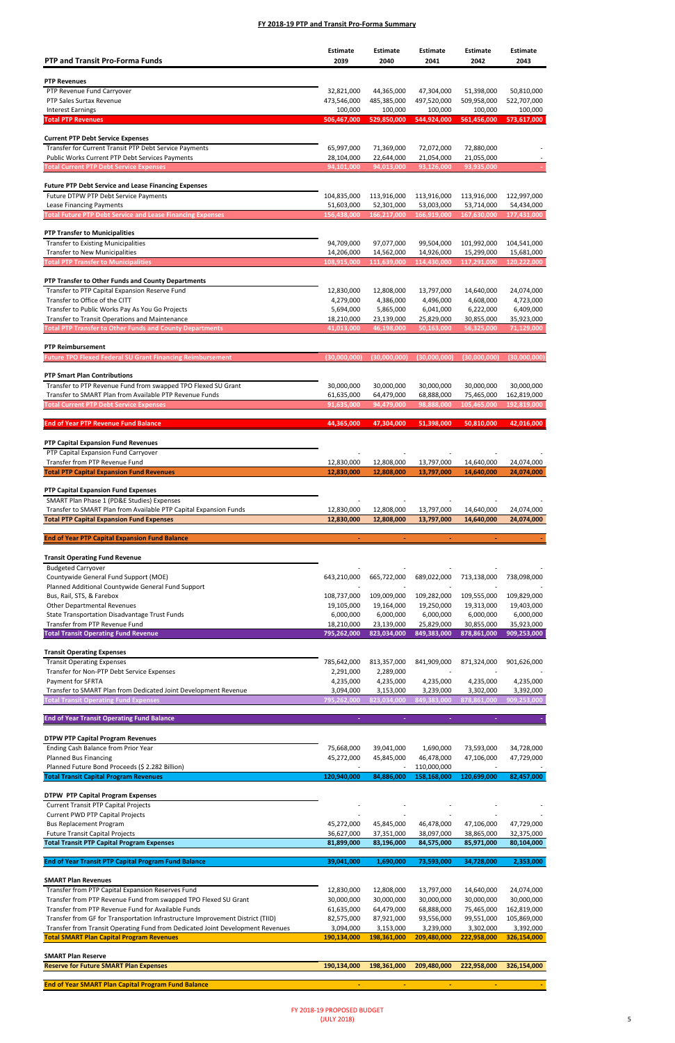| <b>PTP and Transit Pro-Forma Funds</b>                                                               | <b>Estimate</b><br>2039   | Estimate<br>2040          | <b>Estimate</b><br>2041   | <b>Estimate</b><br>2042   | <b>Estimate</b><br>2043   |
|------------------------------------------------------------------------------------------------------|---------------------------|---------------------------|---------------------------|---------------------------|---------------------------|
|                                                                                                      |                           |                           |                           |                           |                           |
| <b>PTP Revenues</b>                                                                                  |                           |                           |                           |                           |                           |
| PTP Revenue Fund Carryover<br>PTP Sales Surtax Revenue                                               | 32,821,000<br>473,546,000 | 44,365,000<br>485,385,000 | 47,304,000<br>497,520,000 | 51,398,000<br>509,958,000 | 50,810,000<br>522,707,000 |
| <b>Interest Earnings</b>                                                                             | 100,000                   | 100,000                   | 100,000                   | 100,000                   | 100,000                   |
| <b>Total PTP Revenues</b>                                                                            | 506,467,000               | 529,850,000               | 544,924,000               | 561,456,000               | 573,617,000               |
|                                                                                                      |                           |                           |                           |                           |                           |
| <b>Current PTP Debt Service Expenses</b>                                                             |                           |                           |                           |                           |                           |
| Transfer for Current Transit PTP Debt Service Payments                                               | 65,997,000                | 71,369,000                | 72,072,000                | 72,880,000                |                           |
| Public Works Current PTP Debt Services Payments<br><b>Total Current PTP Debt Service Expenses</b>    | 28,104,000<br>94,101,000  | 22,644,000<br>94,013,000  | 21,054,000<br>93,126,000  | 21,055,000<br>93,935,000  |                           |
|                                                                                                      |                           |                           |                           |                           |                           |
| <b>Future PTP Debt Service and Lease Financing Expenses</b>                                          |                           |                           |                           |                           |                           |
| Future DTPW PTP Debt Service Payments                                                                | 104,835,000               | 113,916,000               | 113,916,000               | 113,916,000               | 122,997,000               |
| Lease Financing Payments                                                                             | 51,603,000                | 52,301,000                | 53,003,000                | 53,714,000                | 54,434,000                |
| <b>Total Future PTP Debt Service and Lease Financing Expenses</b>                                    | 156,438,000               | 166,217,000               | 166,919,000               | 167,630,000               | 177,431,000               |
| <b>PTP Transfer to Municipalities</b>                                                                |                           |                           |                           |                           |                           |
| <b>Transfer to Existing Municipalities</b>                                                           | 94,709,000                | 97,077,000                | 99,504,000                | 101,992,000               | 104,541,000               |
| <b>Transfer to New Municipalities</b>                                                                | 14,206,000                | 14,562,000                | 14,926,000                | 15,299,000                | 15,681,000                |
| <b>Total PTP Transfer to Municipalities</b>                                                          | 108,915,000               | 111,639,000               | 114,430,000               | 117,291,000               | 120,222,000               |
|                                                                                                      |                           |                           |                           |                           |                           |
| PTP Transfer to Other Funds and County Departments<br>Transfer to PTP Capital Expansion Reserve Fund | 12,830,000                | 12,808,000                |                           |                           |                           |
| Transfer to Office of the CITT                                                                       | 4,279,000                 | 4,386,000                 | 13,797,000<br>4,496,000   | 14,640,000<br>4,608,000   | 24,074,000<br>4,723,000   |
| Transfer to Public Works Pay As You Go Projects                                                      | 5,694,000                 | 5,865,000                 | 6,041,000                 | 6,222,000                 | 6,409,000                 |
| Transfer to Transit Operations and Maintenance                                                       | 18,210,000                | 23,139,000                | 25,829,000                | 30,855,000                | 35,923,000                |
| <b>Total PTP Transfer to Other Funds and County Departments</b>                                      | 41,013,000                | 46,198,000                | 50,163,000                | 56,325,000                | 71,129,000                |
|                                                                                                      |                           |                           |                           |                           |                           |
| <b>PTP Reimbursement</b><br><b>Future TPO Flexed Federal SU Grant Financing Reimbursement</b>        | (30,000,000)              | (30,000,000)              | (30,000,000)              | (30,000,000)              | (30,000,000)              |
|                                                                                                      |                           |                           |                           |                           |                           |
| <b>PTP Smart Plan Contributions</b>                                                                  |                           |                           |                           |                           |                           |
| Transfer to PTP Revenue Fund from swapped TPO Flexed SU Grant                                        | 30,000,000                | 30,000,000                | 30,000,000                | 30,000,000                | 30,000,000                |
| Transfer to SMART Plan from Available PTP Revenue Funds                                              | 61,635,000                | 64,479,000                | 68,888,000                | 75,465,000                | 162,819,000               |
| <b>Total Current PTP Debt Service Expenses</b>                                                       | 91,635,000                | 94,479,000                | 98,888,000                | 105,465,000               | 192,819,000               |
| <b>End of Year PTP Revenue Fund Balance</b>                                                          | 44.365.000                | 47,304,000                | 51,398,000                | 50,810,000                | 42,016,000                |
|                                                                                                      |                           |                           |                           |                           |                           |
| PTP Capital Expansion Fund Revenues                                                                  |                           |                           |                           |                           |                           |
| PTP Capital Expansion Fund Carryover                                                                 |                           |                           |                           |                           |                           |
| Transfer from PTP Revenue Fund                                                                       | 12,830,000                | 12,808,000                | 13,797,000                | 14,640,000                | 24,074,000                |
| <b>Total PTP Capital Expansion Fund Revenues</b>                                                     | 12,830,000                | 12,808,000                | 13,797,000                | 14,640,000                | 24,074,000                |
| PTP Capital Expansion Fund Expenses                                                                  |                           |                           |                           |                           |                           |
| SMART Plan Phase 1 (PD&E Studies) Expenses                                                           |                           |                           |                           |                           |                           |
| Transfer to SMART Plan from Available PTP Capital Expansion Funds                                    | 12,830,000                | 12,808,000                | 13,797,000                | 14,640,000                | 24,074,000                |
| <b>Total PTP Capital Expansion Fund Expenses</b>                                                     | 12,830,000                | 12,808,000                | 13,797,000                | 14,640,000                | 24,074,000                |
| <b>End of Year PTP Capital Expansion Fund Balance</b>                                                |                           |                           |                           | $\blacksquare$            |                           |
|                                                                                                      | $\blacksquare$            | $\sim$                    | $\blacksquare$            |                           |                           |
| <b>Transit Operating Fund Revenue</b>                                                                |                           |                           |                           |                           |                           |
| <b>Budgeted Carryover</b>                                                                            |                           |                           |                           |                           |                           |
| Countywide General Fund Support (MOE)                                                                | 643,210,000               | 665,722,000               | 689,022,000               | 713,138,000               | 738,098,000               |
| Planned Additional Countywide General Fund Support                                                   |                           |                           |                           |                           |                           |
| Bus, Rail, STS, & Farebox                                                                            | 108,737,000               | 109,009,000               | 109,282,000               | 109,555,000               | 109,829,000               |
| <b>Other Departmental Revenues</b><br>State Transportation Disadvantage Trust Funds                  | 19,105,000<br>6,000,000   | 19,164,000<br>6,000,000   | 19,250,000<br>6,000,000   | 19,313,000<br>6,000,000   | 19,403,000<br>6,000,000   |
| Transfer from PTP Revenue Fund                                                                       | 18,210,000                | 23,139,000                | 25,829,000                | 30,855,000                | 35,923,000                |
| <b>Total Transit Operating Fund Revenue</b>                                                          | 795,262,000               | 823,034,000               | 849,383,000               | 878,861,000               | 909,253,000               |
|                                                                                                      |                           |                           |                           |                           |                           |
| <b>Transit Operating Expenses</b>                                                                    |                           |                           |                           |                           |                           |
| <b>Transit Operating Expenses</b>                                                                    | 785,642,000               | 813,357,000               | 841,909,000               | 871,324,000               | 901,626,000               |
| Transfer for Non-PTP Debt Service Expenses<br>Payment for SFRTA                                      | 2,291,000                 | 2,289,000                 |                           |                           | 4,235,000                 |
| Transfer to SMART Plan from Dedicated Joint Development Revenue                                      | 4,235,000<br>3,094,000    | 4,235,000<br>3,153,000    | 4,235,000<br>3,239,000    | 4,235,000<br>3,302,000    | 3,392,000                 |
| <b>Total Transit Operating Fund Expenses</b>                                                         | 795,262,000               | 823,034,000               | 849,383,000               | 878,861,000               | 909,253,000               |
|                                                                                                      |                           |                           |                           |                           |                           |
| <b>End of Year Transit Operating Fund Balance</b>                                                    |                           |                           |                           |                           |                           |
|                                                                                                      |                           |                           |                           |                           |                           |
| <b>DTPW PTP Capital Program Revenues</b><br>Ending Cash Balance from Prior Year                      | 75,668,000                | 39,041,000                | 1,690,000                 | 73,593,000                | 34,728,000                |
| Planned Bus Financing                                                                                | 45,272,000                | 45,845,000                | 46,478,000                | 47,106,000                | 47,729,000                |

| Planned Future Bond Proceeds (\$ 2.282 Billion)                                |             |             | 110,000,000 |             |             |
|--------------------------------------------------------------------------------|-------------|-------------|-------------|-------------|-------------|
| <b>Total Transit Capital Program Revenues</b>                                  | 120,940,000 | 84,886,000  | 158,168,000 | 120,699,000 | 82,457,000  |
|                                                                                |             |             |             |             |             |
| <b>DTPW PTP Capital Program Expenses</b>                                       |             |             |             |             |             |
| <b>Current Transit PTP Capital Projects</b>                                    |             |             |             |             |             |
| <b>Current PWD PTP Capital Projects</b>                                        |             |             |             |             |             |
| <b>Bus Replacement Program</b>                                                 | 45,272,000  | 45,845,000  | 46,478,000  | 47,106,000  | 47,729,000  |
| <b>Future Transit Capital Projects</b>                                         | 36,627,000  | 37,351,000  | 38,097,000  | 38,865,000  | 32,375,000  |
| <b>Total Transit PTP Capital Program Expenses</b>                              | 81,899,000  | 83,196,000  | 84,575,000  | 85,971,000  | 80,104,000  |
|                                                                                |             |             |             |             |             |
| <b>End of Year Transit PTP Capital Program Fund Balance</b>                    | 39,041,000  | 1,690,000   | 73,593,000  | 34,728,000  | 2,353,000   |
|                                                                                |             |             |             |             |             |
| <b>SMART Plan Revenues</b>                                                     |             |             |             |             |             |
| Transfer from PTP Capital Expansion Reserves Fund                              | 12,830,000  | 12,808,000  | 13,797,000  | 14,640,000  | 24,074,000  |
| Transfer from PTP Revenue Fund from swapped TPO Flexed SU Grant                | 30,000,000  | 30,000,000  | 30,000,000  | 30,000,000  | 30,000,000  |
| Transfer from PTP Revenue Fund for Available Funds                             | 61,635,000  | 64,479,000  | 68,888,000  | 75,465,000  | 162,819,000 |
| Transfer from GF for Transportation Infrastructure Improvement District (TIID) | 82,575,000  | 87,921,000  | 93,556,000  | 99,551,000  | 105,869,000 |
| Transfer from Transit Operating Fund from Dedicated Joint Development Revenues | 3,094,000   | 3,153,000   | 3,239,000   | 3,302,000   | 3,392,000   |
| <b>Total SMART Plan Capital Program Revenues</b>                               | 190,134,000 | 198,361,000 | 209,480,000 | 222,958,000 | 326,154,000 |
|                                                                                |             |             |             |             |             |
| <b>SMART Plan Reserve</b>                                                      |             |             |             |             |             |
| <b>Reserve for Future SMART Plan Expenses</b>                                  | 190,134,000 | 198,361,000 | 209,480,000 | 222,958,000 | 326,154,000 |
|                                                                                |             |             |             |             |             |
| <b>End of Year SMART Plan Capital Program Fund Balance</b>                     |             |             |             |             |             |
|                                                                                |             |             |             |             |             |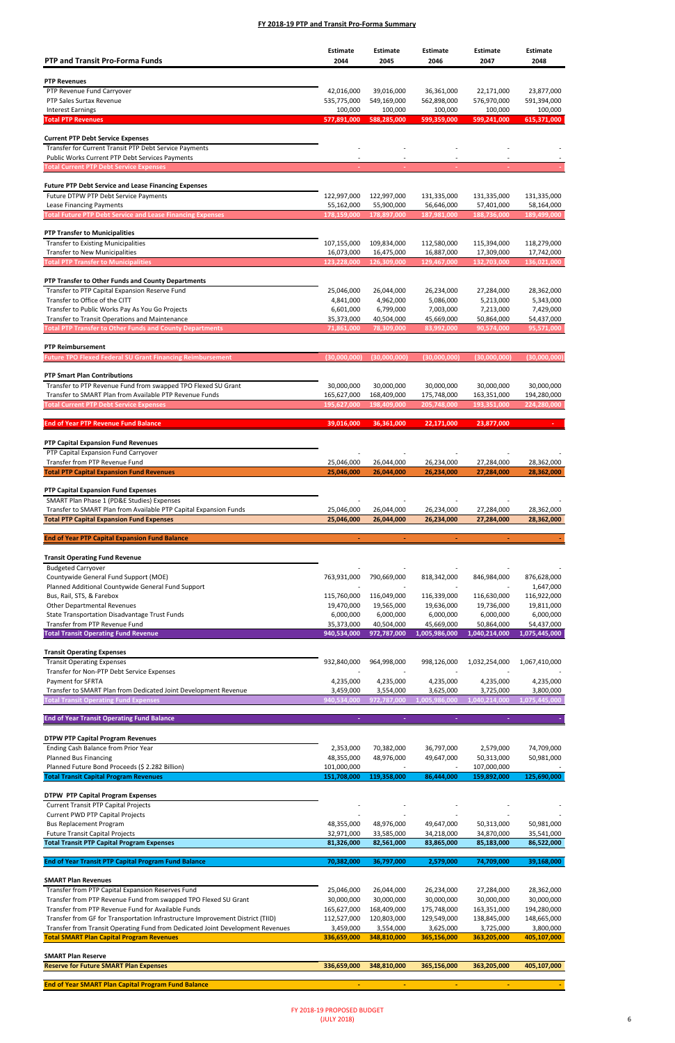Planned Bus Financing

| <b>PTP and Transit Pro-Forma Funds</b>                                                                                   | <b>Estimate</b><br>2044   | <b>Estimate</b><br>2045   | <b>Estimate</b><br>2046   | Estimate<br>2047          | <b>Estimate</b><br>2048   |
|--------------------------------------------------------------------------------------------------------------------------|---------------------------|---------------------------|---------------------------|---------------------------|---------------------------|
|                                                                                                                          |                           |                           |                           |                           |                           |
| <b>PTP Revenues</b>                                                                                                      |                           |                           |                           |                           |                           |
| PTP Revenue Fund Carryover                                                                                               | 42,016,000                | 39,016,000                | 36,361,000                | 22,171,000                | 23,877,000                |
| PTP Sales Surtax Revenue<br><b>Interest Earnings</b>                                                                     | 535,775,000<br>100,000    | 549,169,000<br>100,000    | 562,898,000<br>100,000    | 576,970,000<br>100,000    | 591,394,000<br>100,000    |
| <b>Total PTP Revenues</b>                                                                                                | 577,891,000               | 588,285,000               | 599,359,000               | 599,241,000               | 615,371,000               |
|                                                                                                                          |                           |                           |                           |                           |                           |
| <b>Current PTP Debt Service Expenses</b>                                                                                 |                           |                           |                           |                           |                           |
| Transfer for Current Transit PTP Debt Service Payments                                                                   |                           |                           |                           |                           |                           |
| Public Works Current PTP Debt Services Payments                                                                          |                           |                           |                           |                           |                           |
| <b>Total Current PTP Debt Service Expenses</b>                                                                           |                           |                           |                           |                           |                           |
| <b>Future PTP Debt Service and Lease Financing Expenses</b>                                                              |                           |                           |                           |                           |                           |
| Future DTPW PTP Debt Service Payments                                                                                    | 122,997,000               | 122,997,000               | 131,335,000               | 131,335,000               | 131,335,000               |
| Lease Financing Payments                                                                                                 | 55,162,000                | 55,900,000                | 56,646,000                | 57,401,000                | 58,164,000                |
| <b>Total Future PTP Debt Service and Lease Financing Expenses</b>                                                        | 178,159,000               | 178,897,000               | 187,981,000               | 188,736,000               | 189,499,000               |
| <b>PTP Transfer to Municipalities</b>                                                                                    |                           |                           |                           |                           |                           |
| <b>Transfer to Existing Municipalities</b>                                                                               | 107,155,000               | 109,834,000               | 112,580,000               | 115,394,000               | 118,279,000               |
| <b>Transfer to New Municipalities</b>                                                                                    | 16,073,000                | 16,475,000                | 16,887,000                | 17,309,000                | 17,742,000                |
| <b>Total PTP Transfer to Municipalities</b>                                                                              | 123,228,000               | 126,309,000               | 129,467,000               | 132,703,000               | 136,021,000               |
| PTP Transfer to Other Funds and County Departments                                                                       |                           |                           |                           |                           |                           |
| Transfer to PTP Capital Expansion Reserve Fund                                                                           | 25,046,000                | 26,044,000                | 26,234,000                | 27,284,000                | 28,362,000                |
| Transfer to Office of the CITT                                                                                           | 4,841,000                 | 4,962,000                 | 5,086,000                 | 5,213,000                 | 5,343,000                 |
| Transfer to Public Works Pay As You Go Projects                                                                          | 6,601,000                 | 6,799,000                 | 7,003,000                 | 7,213,000                 | 7,429,000                 |
| Transfer to Transit Operations and Maintenance                                                                           | 35,373,000                | 40,504,000                | 45,669,000                | 50,864,000                | 54,437,000                |
| <b>Total PTP Transfer to Other Funds and County Departments</b>                                                          | 71,861,000                | 78,309,000                | 83,992,000                | 90,574,000                | 95,571,000                |
| <b>PTP Reimbursement</b>                                                                                                 |                           |                           |                           |                           |                           |
| <b>Future TPO Flexed Federal SU Grant Financing Reimbursement</b>                                                        | (30,000,000)              | (30,000,000)              | (30,000,000)              | (30,000,000)              | (30,000,000)              |
|                                                                                                                          |                           |                           |                           |                           |                           |
| <b>PTP Smart Plan Contributions</b>                                                                                      |                           |                           |                           |                           |                           |
| Transfer to PTP Revenue Fund from swapped TPO Flexed SU Grant<br>Transfer to SMART Plan from Available PTP Revenue Funds | 30,000,000<br>165,627,000 | 30,000,000<br>168,409,000 | 30,000,000<br>175,748,000 | 30,000,000<br>163,351,000 | 30,000,000<br>194,280,000 |
| <b>Total Current PTP Debt Service Expenses</b>                                                                           | 195,627,000               | 198,409,000               | 205,748,000               | 193,351,000               | 224,280,000               |
|                                                                                                                          |                           |                           |                           |                           |                           |
| <b>End of Year PTP Revenue Fund Balance</b>                                                                              | 39,016,000                | 36,361,000                | 22,171,000                | 23,877,000                |                           |
| <b>PTP Capital Expansion Fund Revenues</b>                                                                               |                           |                           |                           |                           |                           |
| PTP Capital Expansion Fund Carryover                                                                                     |                           |                           |                           |                           |                           |
| Transfer from PTP Revenue Fund                                                                                           | 25,046,000                | 26,044,000                | 26,234,000                | 27,284,000                | 28,362,000                |
| <b>Total PTP Capital Expansion Fund Revenues</b>                                                                         | 25,046,000                | 26,044,000                | 26,234,000                | 27,284,000                | 28,362,000                |
| PTP Capital Expansion Fund Expenses                                                                                      |                           |                           |                           |                           |                           |
| SMART Plan Phase 1 (PD&E Studies) Expenses                                                                               |                           |                           |                           |                           |                           |
| Transfer to SMART Plan from Available PTP Capital Expansion Funds                                                        | 25,046,000                | 26,044,000                | 26,234,000                | 27,284,000                | 28,362,000                |
| <b>Total PTP Capital Expansion Fund Expenses</b>                                                                         | 25,046,000                | 26,044,000                | 26,234,000                | 27,284,000                | 28,362,000                |
| <b>End of Year PTP Capital Expansion Fund Balance</b>                                                                    | $\blacksquare$            | $\blacksquare$            | $\blacksquare$            | ٠                         |                           |
|                                                                                                                          |                           |                           |                           |                           |                           |
| <b>Transit Operating Fund Revenue</b>                                                                                    |                           |                           |                           |                           |                           |
| <b>Budgeted Carryover</b>                                                                                                |                           |                           |                           |                           |                           |
| Countywide General Fund Support (MOE)                                                                                    | 763,931,000               | 790,669,000               | 818,342,000               | 846,984,000               | 876,628,000               |
| Planned Additional Countywide General Fund Support                                                                       |                           |                           |                           |                           | 1,647,000                 |
| Bus, Rail, STS, & Farebox<br><b>Other Departmental Revenues</b>                                                          | 115,760,000<br>19,470,000 | 116,049,000<br>19,565,000 | 116,339,000<br>19,636,000 | 116,630,000<br>19,736,000 | 116,922,000<br>19,811,000 |
| State Transportation Disadvantage Trust Funds                                                                            | 6,000,000                 | 6,000,000                 | 6,000,000                 | 6,000,000                 | 6,000,000                 |
| Transfer from PTP Revenue Fund                                                                                           | 35,373,000                | 40,504,000                | 45,669,000                | 50,864,000                | 54,437,000                |
| <b>Total Transit Operating Fund Revenue</b>                                                                              | 940,534,000               | 972,787,000               | 1,005,986,000             | 1,040,214,000             | 1,075,445,000             |
| <b>Transit Operating Expenses</b>                                                                                        |                           |                           |                           |                           |                           |
| <b>Transit Operating Expenses</b>                                                                                        | 932,840,000               | 964,998,000               | 998,126,000               | 1,032,254,000             | 1,067,410,000             |
| Transfer for Non-PTP Debt Service Expenses                                                                               |                           |                           |                           |                           |                           |
| Payment for SFRTA                                                                                                        | 4,235,000                 | 4,235,000                 | 4,235,000                 | 4,235,000                 | 4,235,000                 |
| Transfer to SMART Plan from Dedicated Joint Development Revenue                                                          | 3,459,000                 | 3,554,000                 | 3,625,000                 | 3,725,000                 | 3,800,000                 |
| <b>Total Transit Operating Fund Expenses</b>                                                                             | 940,534,000               | 972,787,000               | 1,005,986,000             | 1,040,214,000             | 1,075,445,000             |
| <b>End of Year Transit Operating Fund Balance</b>                                                                        |                           |                           |                           |                           |                           |
|                                                                                                                          |                           |                           |                           |                           |                           |
| <b>DTPW PTP Capital Program Revenues</b>                                                                                 |                           |                           |                           |                           |                           |
| Ending Cash Balance from Prior Year                                                                                      | 2,353,000                 | 70,382,000                | 36,797,000                | 2,579,000                 | 74,709,000                |

| 101,000,000 |             |             | 107,000,000 |             |
|-------------|-------------|-------------|-------------|-------------|
| 151,708,000 | 119,358,000 | 86,444,000  | 159,892,000 | 125,690,000 |
|             |             |             |             |             |
|             |             |             |             |             |
|             |             |             |             |             |
|             |             |             |             |             |
| 48,355,000  | 48,976,000  | 49,647,000  | 50,313,000  | 50,981,000  |
| 32,971,000  | 33,585,000  | 34,218,000  | 34,870,000  | 35,541,000  |
| 81,326,000  | 82,561,000  | 83,865,000  | 85,183,000  | 86,522,000  |
|             |             |             |             |             |
| 70,382,000  | 36,797,000  | 2,579,000   | 74,709,000  | 39,168,000  |
|             |             |             |             |             |
|             |             |             |             |             |
| 25,046,000  | 26,044,000  | 26,234,000  | 27,284,000  | 28,362,000  |
| 30,000,000  | 30,000,000  | 30,000,000  | 30,000,000  | 30,000,000  |
| 165,627,000 | 168,409,000 | 175,748,000 | 163,351,000 | 194,280,000 |
| 112,527,000 | 120,803,000 | 129,549,000 | 138,845,000 | 148,665,000 |
| 3,459,000   | 3,554,000   | 3,625,000   | 3,725,000   | 3,800,000   |
| 336,659,000 | 348,810,000 | 365,156,000 | 363,205,000 | 405,107,000 |
|             |             |             |             |             |
|             |             |             |             |             |
| 336,659,000 | 348,810,000 | 365,156,000 | 363,205,000 | 405,107,000 |
|             |             |             |             |             |
|             |             |             |             |             |
|             |             |             |             |             |

48,355,000 48,976,000 49,647,000 50,313,000 50,981,000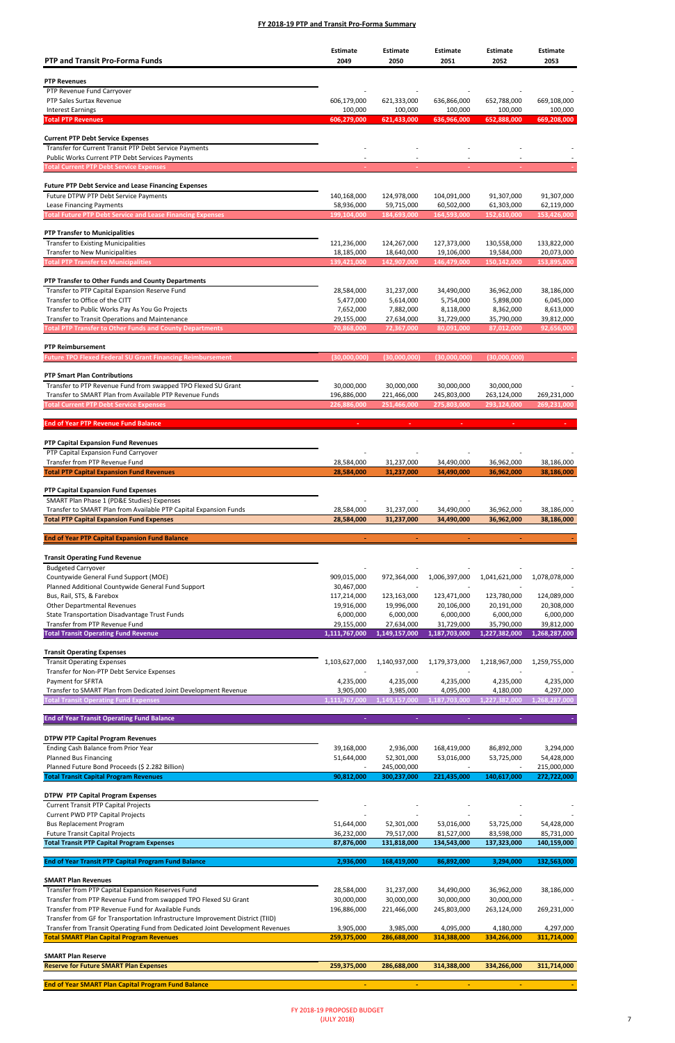Planned Bus Financing

| <b>PTP and Transit Pro-Forma Funds</b>                                                             | Estimate<br>2049          | <b>Estimate</b><br>2050    | <b>Estimate</b><br>2051   | <b>Estimate</b><br>2052   | <b>Estimate</b><br>2053   |
|----------------------------------------------------------------------------------------------------|---------------------------|----------------------------|---------------------------|---------------------------|---------------------------|
|                                                                                                    |                           |                            |                           |                           |                           |
| <b>PTP Revenues</b><br>PTP Revenue Fund Carryover                                                  |                           |                            |                           |                           |                           |
| PTP Sales Surtax Revenue                                                                           | 606,179,000               | 621,333,000                | 636,866,000               | 652,788,000               | 669,108,000               |
| <b>Interest Earnings</b>                                                                           | 100,000                   | 100,000                    | 100,000                   | 100,000                   | 100,000                   |
| <b>Total PTP Revenues</b>                                                                          | 606,279,000               | 621,433,000                | 636,966,000               | 652,888,000               | 669,208,000               |
|                                                                                                    |                           |                            |                           |                           |                           |
| <b>Current PTP Debt Service Expenses</b><br>Transfer for Current Transit PTP Debt Service Payments |                           |                            |                           |                           |                           |
| Public Works Current PTP Debt Services Payments                                                    |                           |                            |                           |                           |                           |
| <b>Total Current PTP Debt Service Expenses</b>                                                     |                           |                            |                           |                           |                           |
|                                                                                                    |                           |                            |                           |                           |                           |
| <b>Future PTP Debt Service and Lease Financing Expenses</b>                                        |                           |                            |                           |                           |                           |
| Future DTPW PTP Debt Service Payments                                                              | 140,168,000               | 124,978,000                | 104,091,000               | 91,307,000                | 91,307,000                |
| Lease Financing Payments<br><b>Total Future PTP Debt Service and Lease Financing Expenses</b>      | 58,936,000<br>199,104,000 | 59,715,000<br>184,693,000  | 60,502,000<br>164,593,000 | 61,303,000<br>152,610,000 | 62,119,000<br>153,426,000 |
|                                                                                                    |                           |                            |                           |                           |                           |
| <b>PTP Transfer to Municipalities</b>                                                              |                           |                            |                           |                           |                           |
| <b>Transfer to Existing Municipalities</b>                                                         | 121,236,000               | 124,267,000                | 127,373,000               | 130,558,000               | 133,822,000               |
| Transfer to New Municipalities                                                                     | 18,185,000                | 18,640,000                 | 19,106,000                | 19,584,000                | 20,073,000                |
| <b>Total PTP Transfer to Municipalities</b>                                                        | 139,421,000               | 142,907,000                | 146,479,000               | 150,142,000               | 153,895,000               |
| PTP Transfer to Other Funds and County Departments                                                 |                           |                            |                           |                           |                           |
| Transfer to PTP Capital Expansion Reserve Fund                                                     | 28,584,000                | 31,237,000                 | 34,490,000                | 36,962,000                | 38,186,000                |
| Transfer to Office of the CITT                                                                     | 5,477,000                 | 5,614,000                  | 5,754,000                 | 5,898,000                 | 6,045,000                 |
| Transfer to Public Works Pay As You Go Projects                                                    | 7,652,000                 | 7,882,000                  | 8,118,000                 | 8,362,000                 | 8,613,000                 |
| Transfer to Transit Operations and Maintenance                                                     | 29,155,000                | 27,634,000                 | 31,729,000                | 35,790,000                | 39,812,000                |
| <b>Total PTP Transfer to Other Funds and County Departments</b>                                    | 70,868,000                | 72,367,000                 | 80,091,000                | 87,012,000                | 92,656,000                |
| <b>PTP Reimbursement</b>                                                                           |                           |                            |                           |                           |                           |
| <b>Future TPO Flexed Federal SU Grant Financing Reimbursement</b>                                  | (30,000,000)              | (30,000,000)               | (30,000,000)              | (30,000,000)              |                           |
|                                                                                                    |                           |                            |                           |                           |                           |
| <b>PTP Smart Plan Contributions</b>                                                                |                           |                            |                           |                           |                           |
| Transfer to PTP Revenue Fund from swapped TPO Flexed SU Grant                                      | 30,000,000                | 30,000,000                 | 30,000,000                | 30,000,000                |                           |
| Transfer to SMART Plan from Available PTP Revenue Funds                                            | 196,886,000               | 221,466,000<br>251,466,000 | 245,803,000               | 263,124,000               | 269,231,000               |
| <b>Total Current PTP Debt Service Expenses</b>                                                     | 226,886,000               |                            | 275,803,000               | 293,124,000               | 269,231,000               |
| <b>End of Year PTP Revenue Fund Balance</b>                                                        |                           | ÷.                         | ×.                        | ×.                        |                           |
|                                                                                                    |                           |                            |                           |                           |                           |
| <b>PTP Capital Expansion Fund Revenues</b>                                                         |                           |                            |                           |                           |                           |
| PTP Capital Expansion Fund Carryover                                                               |                           |                            |                           |                           |                           |
| Transfer from PTP Revenue Fund<br><b>Total PTP Capital Expansion Fund Revenues</b>                 | 28,584,000<br>28,584,000  | 31,237,000<br>31,237,000   | 34,490,000<br>34,490,000  | 36,962,000<br>36,962,000  | 38,186,000<br>38,186,000  |
|                                                                                                    |                           |                            |                           |                           |                           |
| PTP Capital Expansion Fund Expenses                                                                |                           |                            |                           |                           |                           |
| SMART Plan Phase 1 (PD&E Studies) Expenses                                                         |                           |                            |                           |                           |                           |
| Transfer to SMART Plan from Available PTP Capital Expansion Funds                                  | 28,584,000                | 31,237,000                 | 34,490,000                | 36,962,000                | 38,186,000                |
| <b>Total PTP Capital Expansion Fund Expenses</b>                                                   | 28,584,000                | 31,237,000                 | 34,490,000                | 36,962,000                | 38,186,000                |
| <b>End of Year PTP Capital Expansion Fund Balance</b>                                              | $\blacksquare$            | $\blacksquare$             | $\blacksquare$            | $\blacksquare$            |                           |
|                                                                                                    |                           |                            |                           |                           |                           |
| <b>Transit Operating Fund Revenue</b>                                                              |                           |                            |                           |                           |                           |
| <b>Budgeted Carryover</b>                                                                          |                           |                            |                           |                           |                           |
| Countywide General Fund Support (MOE)                                                              | 909,015,000               | 972,364,000                | 1,006,397,000             | 1,041,621,000             | 1,078,078,000             |
| Planned Additional Countywide General Fund Support                                                 | 30,467,000                |                            |                           |                           |                           |
| Bus, Rail, STS, & Farebox                                                                          | 117,214,000               | 123,163,000                | 123,471,000               | 123,780,000               | 124,089,000               |
| <b>Other Departmental Revenues</b><br>State Transportation Disadvantage Trust Funds                | 19,916,000<br>6,000,000   | 19,996,000<br>6,000,000    | 20,106,000<br>6,000,000   | 20,191,000<br>6,000,000   | 20,308,000<br>6,000,000   |
| Transfer from PTP Revenue Fund                                                                     | 29,155,000                | 27,634,000                 | 31,729,000                | 35,790,000                | 39,812,000                |
| <b>Total Transit Operating Fund Revenue</b>                                                        | 1,111,767,000             | 1,149,157,000              | 1,187,703,000             | 1,227,382,000             | 1,268,287,000             |
|                                                                                                    |                           |                            |                           |                           |                           |
| <b>Transit Operating Expenses</b>                                                                  |                           |                            |                           |                           |                           |
| <b>Transit Operating Expenses</b>                                                                  | 1,103,627,000             | 1,140,937,000              | 1,179,373,000             | 1,218,967,000             | 1,259,755,000             |
| Transfer for Non-PTP Debt Service Expenses<br>Payment for SFRTA                                    | 4,235,000                 | 4,235,000                  | 4,235,000                 | 4,235,000                 | 4,235,000                 |
| Transfer to SMART Plan from Dedicated Joint Development Revenue                                    | 3,905,000                 | 3,985,000                  | 4,095,000                 | 4,180,000                 | 4,297,000                 |
| <b>Total Transit Operating Fund Expenses</b>                                                       | 1,111,767,000             | 1.149,157,000              | 1,187,703,000             | 1.227,382,000             | 1.268,287,000             |
|                                                                                                    |                           |                            |                           |                           |                           |
| <b>End of Year Transit Operating Fund Balance</b>                                                  |                           |                            |                           |                           |                           |
| <b>DTPW PTP Capital Program Revenues</b>                                                           |                           |                            |                           |                           |                           |
| Ending Cash Balance from Prior Year                                                                | 39,168,000                | 2,936,000                  | 168,419,000               | 86,892,000                | 3,294,000                 |

| Planned Future Bond Proceeds (\$ 2.282 Billion)                                |             | 245,000,000 |             |             | 215,000,000 |
|--------------------------------------------------------------------------------|-------------|-------------|-------------|-------------|-------------|
| <b>Total Transit Capital Program Revenues</b>                                  | 90,812,000  | 300,237,000 | 221,435,000 | 140,617,000 | 272,722,000 |
|                                                                                |             |             |             |             |             |
| <b>DTPW PTP Capital Program Expenses</b>                                       |             |             |             |             |             |
| <b>Current Transit PTP Capital Projects</b>                                    |             |             |             |             |             |
| <b>Current PWD PTP Capital Projects</b>                                        |             |             |             |             |             |
| <b>Bus Replacement Program</b>                                                 | 51,644,000  | 52,301,000  | 53,016,000  | 53,725,000  | 54,428,000  |
| <b>Future Transit Capital Projects</b>                                         | 36,232,000  | 79,517,000  | 81,527,000  | 83,598,000  | 85,731,000  |
| <b>Total Transit PTP Capital Program Expenses</b>                              | 87,876,000  | 131,818,000 | 134,543,000 | 137,323,000 | 140,159,000 |
|                                                                                |             |             |             |             |             |
| <b>End of Year Transit PTP Capital Program Fund Balance</b>                    | 2,936,000   | 168,419,000 | 86,892,000  | 3,294,000   | 132,563,000 |
| <b>SMART Plan Revenues</b>                                                     |             |             |             |             |             |
| Transfer from PTP Capital Expansion Reserves Fund                              | 28,584,000  | 31,237,000  | 34,490,000  | 36,962,000  | 38,186,000  |
| Transfer from PTP Revenue Fund from swapped TPO Flexed SU Grant                | 30,000,000  | 30,000,000  | 30,000,000  | 30,000,000  |             |
| Transfer from PTP Revenue Fund for Available Funds                             | 196,886,000 | 221,466,000 | 245,803,000 | 263,124,000 | 269,231,000 |
| Transfer from GF for Transportation Infrastructure Improvement District (TIID) |             |             |             |             |             |
| Transfer from Transit Operating Fund from Dedicated Joint Development Revenues | 3,905,000   | 3,985,000   | 4,095,000   | 4,180,000   | 4,297,000   |
| <b>Total SMART Plan Capital Program Revenues</b>                               | 259,375,000 | 286,688,000 | 314,388,000 | 334,266,000 | 311,714,000 |
|                                                                                |             |             |             |             |             |
| <b>SMART Plan Reserve</b>                                                      |             |             |             |             |             |
| <b>Reserve for Future SMART Plan Expenses</b>                                  | 259,375,000 | 286,688,000 | 314,388,000 | 334,266,000 | 311,714,000 |
|                                                                                |             |             |             |             |             |
| <b>End of Year SMART Plan Capital Program Fund Balance</b>                     |             |             |             |             |             |

51,644,000 52,301,000 53,016,000 53,725,000 54,428,000